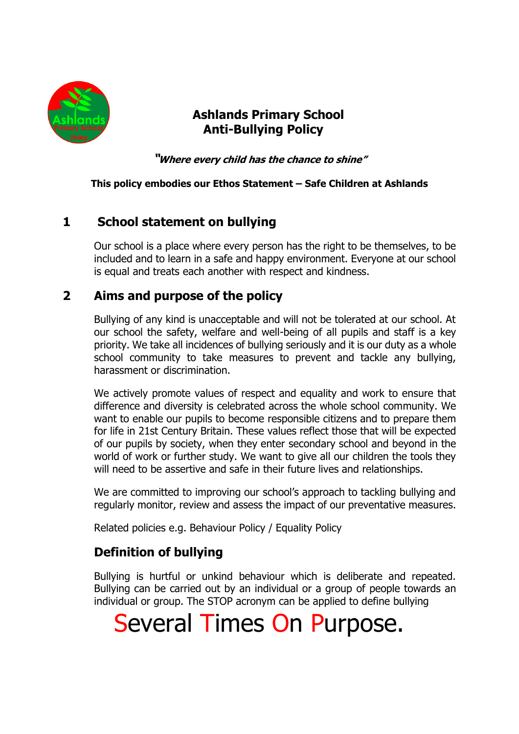

# **Ashlands Primary School Anti-Bullying Policy**

**"Where every child has the chance to shine"**

#### **This policy embodies our Ethos Statement – Safe Children at Ashlands**

# **1 School statement on bullying**

Our school is a place where every person has the right to be themselves, to be included and to learn in a safe and happy environment. Everyone at our school is equal and treats each another with respect and kindness.

## **2 Aims and purpose of the policy**

Bullying of any kind is unacceptable and will not be tolerated at our school. At our school the safety, welfare and well-being of all pupils and staff is a key priority. We take all incidences of bullying seriously and it is our duty as a whole school community to take measures to prevent and tackle any bullying, harassment or discrimination.

We actively promote values of respect and equality and work to ensure that difference and diversity is celebrated across the whole school community. We want to enable our pupils to become responsible citizens and to prepare them for life in 21st Century Britain. These values reflect those that will be expected of our pupils by society, when they enter secondary school and beyond in the world of work or further study. We want to give all our children the tools they will need to be assertive and safe in their future lives and relationships.

We are committed to improving our school's approach to tackling bullying and regularly monitor, review and assess the impact of our preventative measures.

Related policies e.g. Behaviour Policy / Equality Policy

# **Definition of bullying**

Bullying is hurtful or unkind behaviour which is deliberate and repeated. Bullying can be carried out by an individual or a group of people towards an individual or group. The STOP acronym can be applied to define bullying

# Several Times On Purpose.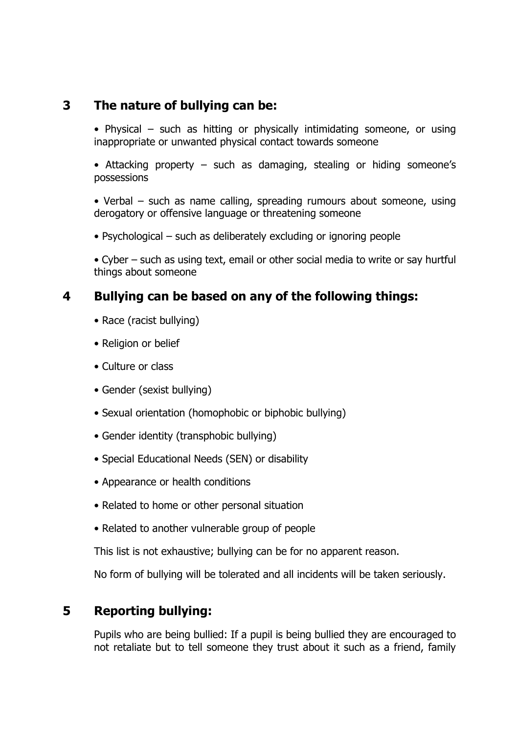## **3 The nature of bullying can be:**

• Physical – such as hitting or physically intimidating someone, or using inappropriate or unwanted physical contact towards someone

• Attacking property – such as damaging, stealing or hiding someone's possessions

• Verbal – such as name calling, spreading rumours about someone, using derogatory or offensive language or threatening someone

• Psychological – such as deliberately excluding or ignoring people

• Cyber – such as using text, email or other social media to write or say hurtful things about someone

## **4 Bullying can be based on any of the following things:**

- Race (racist bullying)
- Religion or belief
- Culture or class
- Gender (sexist bullying)
- Sexual orientation (homophobic or biphobic bullying)
- Gender identity (transphobic bullying)
- Special Educational Needs (SEN) or disability
- Appearance or health conditions
- Related to home or other personal situation
- Related to another vulnerable group of people

This list is not exhaustive; bullying can be for no apparent reason.

No form of bullying will be tolerated and all incidents will be taken seriously.

# **5 Reporting bullying:**

Pupils who are being bullied: If a pupil is being bullied they are encouraged to not retaliate but to tell someone they trust about it such as a friend, family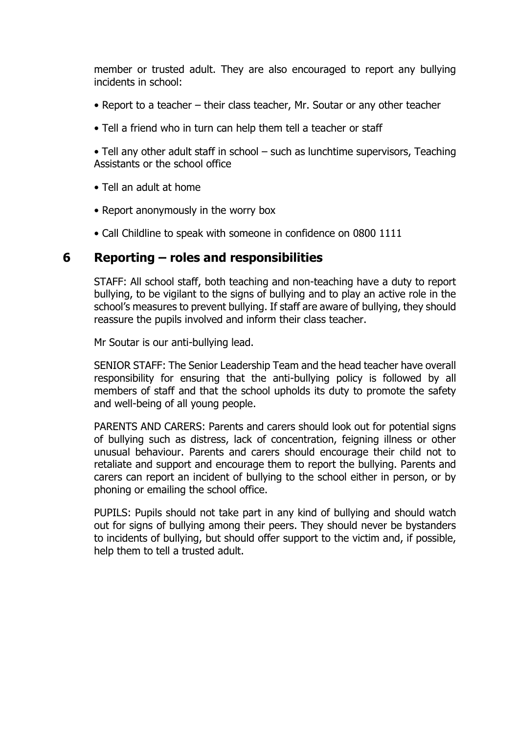member or trusted adult. They are also encouraged to report any bullying incidents in school:

- Report to a teacher their class teacher, Mr. Soutar or any other teacher
- Tell a friend who in turn can help them tell a teacher or staff

• Tell any other adult staff in school – such as lunchtime supervisors, Teaching Assistants or the school office

- Tell an adult at home
- Report anonymously in the worry box
- Call Childline to speak with someone in confidence on 0800 1111

#### **6 Reporting – roles and responsibilities**

STAFF: All school staff, both teaching and non-teaching have a duty to report bullying, to be vigilant to the signs of bullying and to play an active role in the school's measures to prevent bullying. If staff are aware of bullying, they should reassure the pupils involved and inform their class teacher.

Mr Soutar is our anti-bullying lead.

SENIOR STAFF: The Senior Leadership Team and the head teacher have overall responsibility for ensuring that the anti-bullying policy is followed by all members of staff and that the school upholds its duty to promote the safety and well-being of all young people.

PARENTS AND CARERS: Parents and carers should look out for potential signs of bullying such as distress, lack of concentration, feigning illness or other unusual behaviour. Parents and carers should encourage their child not to retaliate and support and encourage them to report the bullying. Parents and carers can report an incident of bullying to the school either in person, or by phoning or emailing the school office.

PUPILS: Pupils should not take part in any kind of bullying and should watch out for signs of bullying among their peers. They should never be bystanders to incidents of bullying, but should offer support to the victim and, if possible, help them to tell a trusted adult.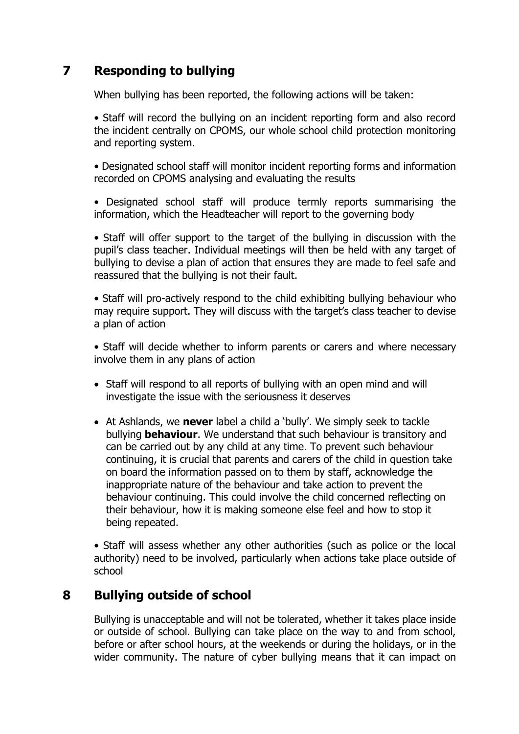# **7 Responding to bullying**

When bullying has been reported, the following actions will be taken:

• Staff will record the bullying on an incident reporting form and also record the incident centrally on CPOMS, our whole school child protection monitoring and reporting system.

• Designated school staff will monitor incident reporting forms and information recorded on CPOMS analysing and evaluating the results

• Designated school staff will produce termly reports summarising the information, which the Headteacher will report to the governing body

• Staff will offer support to the target of the bullying in discussion with the pupil's class teacher. Individual meetings will then be held with any target of bullying to devise a plan of action that ensures they are made to feel safe and reassured that the bullying is not their fault.

• Staff will pro-actively respond to the child exhibiting bullying behaviour who may require support. They will discuss with the target's class teacher to devise a plan of action

• Staff will decide whether to inform parents or carers and where necessary involve them in any plans of action

- Staff will respond to all reports of bullying with an open mind and will investigate the issue with the seriousness it deserves
- At Ashlands, we **never** label a child a 'bully'. We simply seek to tackle bullying **behaviour**. We understand that such behaviour is transitory and can be carried out by any child at any time. To prevent such behaviour continuing, it is crucial that parents and carers of the child in question take on board the information passed on to them by staff, acknowledge the inappropriate nature of the behaviour and take action to prevent the behaviour continuing. This could involve the child concerned reflecting on their behaviour, how it is making someone else feel and how to stop it being repeated.

• Staff will assess whether any other authorities (such as police or the local authority) need to be involved, particularly when actions take place outside of school

# **8 Bullying outside of school**

Bullying is unacceptable and will not be tolerated, whether it takes place inside or outside of school. Bullying can take place on the way to and from school, before or after school hours, at the weekends or during the holidays, or in the wider community. The nature of cyber bullying means that it can impact on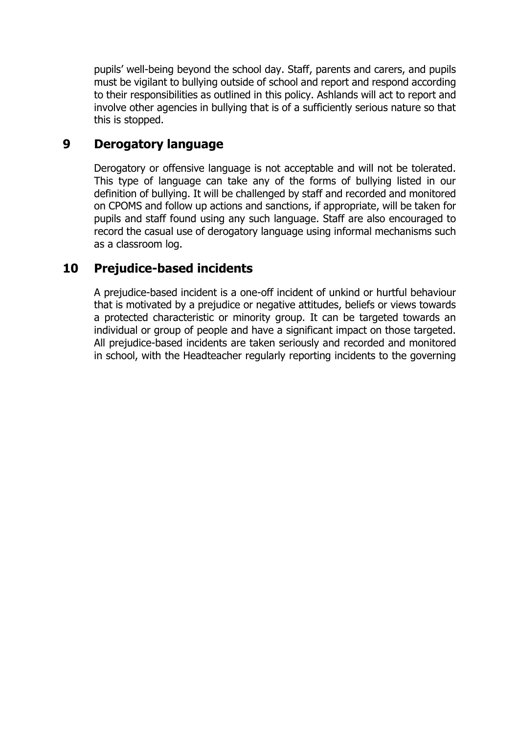pupils' well-being beyond the school day. Staff, parents and carers, and pupils must be vigilant to bullying outside of school and report and respond according to their responsibilities as outlined in this policy. Ashlands will act to report and involve other agencies in bullying that is of a sufficiently serious nature so that this is stopped.

## **9 Derogatory language**

Derogatory or offensive language is not acceptable and will not be tolerated. This type of language can take any of the forms of bullying listed in our definition of bullying. It will be challenged by staff and recorded and monitored on CPOMS and follow up actions and sanctions, if appropriate, will be taken for pupils and staff found using any such language. Staff are also encouraged to record the casual use of derogatory language using informal mechanisms such as a classroom log.

## **10 Prejudice-based incidents**

A prejudice-based incident is a one-off incident of unkind or hurtful behaviour that is motivated by a prejudice or negative attitudes, beliefs or views towards a protected characteristic or minority group. It can be targeted towards an individual or group of people and have a significant impact on those targeted. All prejudice-based incidents are taken seriously and recorded and monitored in school, with the Headteacher regularly reporting incidents to the governing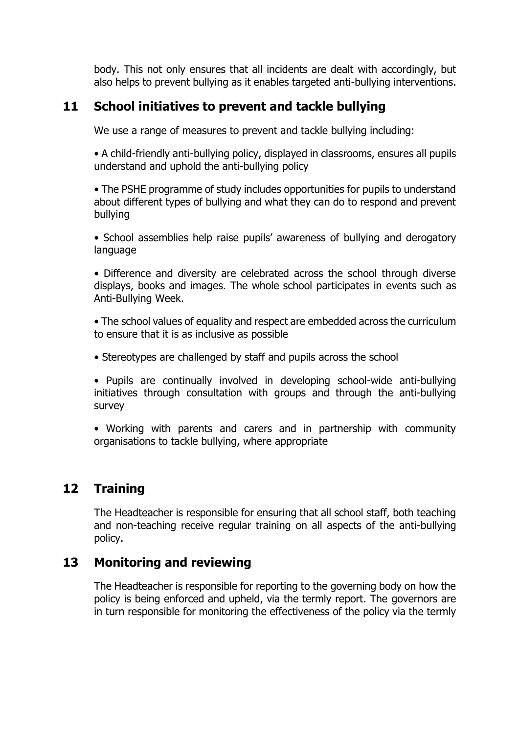body. This not only ensures that all incidents are dealt with accordingly, but also helps to prevent bullying as it enables targeted anti-bullying interventions.

## **11 School initiatives to prevent and tackle bullying**

We use a range of measures to prevent and tackle bullying including:

• A child-friendly anti-bullying policy, displayed in classrooms, ensures all pupils understand and uphold the anti-bullying policy

• The PSHE programme of study includes opportunities for pupils to understand about different types of bullying and what they can do to respond and prevent bullying

• School assemblies help raise pupils' awareness of bullying and derogatory language

• Difference and diversity are celebrated across the school through diverse displays, books and images. The whole school participates in events such as Anti-Bullying Week.

• The school values of equality and respect are embedded across the curriculum to ensure that it is as inclusive as possible

• Stereotypes are challenged by staff and pupils across the school

• Pupils are continually involved in developing school-wide anti-bullying initiatives through consultation with groups and through the anti-bullying survey

• Working with parents and carers and in partnership with community organisations to tackle bullying, where appropriate

## **12 Training**

The Headteacher is responsible for ensuring that all school staff, both teaching and non-teaching receive regular training on all aspects of the anti-bullying policy.

## **13 Monitoring and reviewing**

The Headteacher is responsible for reporting to the governing body on how the policy is being enforced and upheld, via the termly report. The governors are in turn responsible for monitoring the effectiveness of the policy via the termly